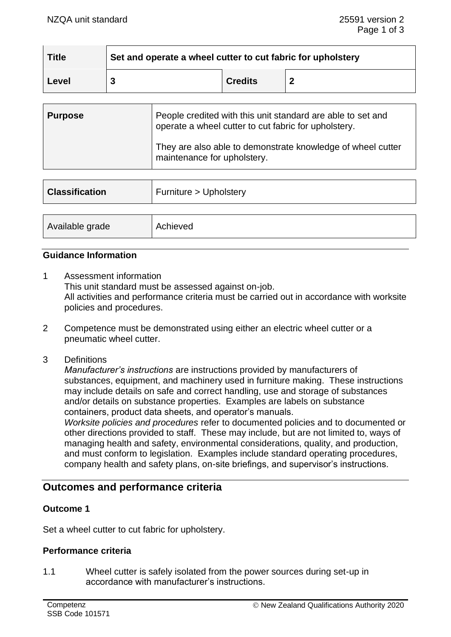| <b>Title</b> | Set and operate a wheel cutter to cut fabric for upholstery |                |  |
|--------------|-------------------------------------------------------------|----------------|--|
| Level        |                                                             | <b>Credits</b> |  |

| <b>Purpose</b> | People credited with this unit standard are able to set and<br>operate a wheel cutter to cut fabric for upholstery. |
|----------------|---------------------------------------------------------------------------------------------------------------------|
|                | They are also able to demonstrate knowledge of wheel cutter<br>maintenance for upholstery.                          |

| <b>Classification</b> | Furniture > Upholstery |  |
|-----------------------|------------------------|--|
| Available grade       | Achieved               |  |
|                       |                        |  |

# **Guidance Information**

- 1 Assessment information This unit standard must be assessed against on-job. All activities and performance criteria must be carried out in accordance with worksite policies and procedures.
- 2 Competence must be demonstrated using either an electric wheel cutter or a pneumatic wheel cutter.
- 3 Definitions

*Manufacturer's instructions* are instructions provided by manufacturers of substances, equipment, and machinery used in furniture making. These instructions may include details on safe and correct handling, use and storage of substances and/or details on substance properties. Examples are labels on substance containers, product data sheets, and operator's manuals.

*Worksite policies and procedures* refer to documented policies and to documented or other directions provided to staff. These may include, but are not limited to, ways of managing health and safety, environmental considerations, quality, and production, and must conform to legislation. Examples include standard operating procedures, company health and safety plans, on-site briefings, and supervisor's instructions.

# **Outcomes and performance criteria**

# **Outcome 1**

Set a wheel cutter to cut fabric for upholstery.

#### **Performance criteria**

1.1 Wheel cutter is safely isolated from the power sources during set-up in accordance with manufacturer's instructions.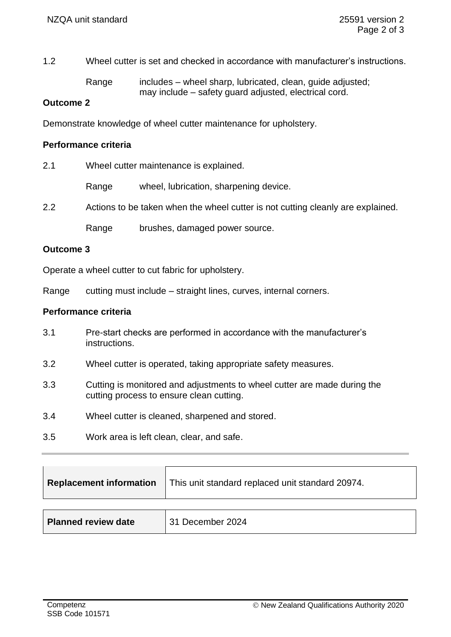1.2 Wheel cutter is set and checked in accordance with manufacturer's instructions.

Range includes – wheel sharp, lubricated, clean, quide adjusted; may include – safety guard adjusted, electrical cord.

### **Outcome 2**

Demonstrate knowledge of wheel cutter maintenance for upholstery.

# **Performance criteria**

| 2.1 | Wheel cutter maintenance is explained. |
|-----|----------------------------------------|
|     |                                        |

Range wheel, lubrication, sharpening device.

2.2 Actions to be taken when the wheel cutter is not cutting cleanly are explained.

Range brushes, damaged power source.

#### **Outcome 3**

Operate a wheel cutter to cut fabric for upholstery.

Range cutting must include – straight lines, curves, internal corners.

# **Performance criteria**

- 3.1 Pre-start checks are performed in accordance with the manufacturer's instructions.
- 3.2 Wheel cutter is operated, taking appropriate safety measures.
- 3.3 Cutting is monitored and adjustments to wheel cutter are made during the cutting process to ensure clean cutting.
- 3.4 Wheel cutter is cleaned, sharpened and stored.
- 3.5 Work area is left clean, clear, and safe.

| <b>Replacement information</b> | This unit standard replaced unit standard 20974. |
|--------------------------------|--------------------------------------------------|
|                                |                                                  |
| <b>Planned review date</b>     | 31 December 2024                                 |